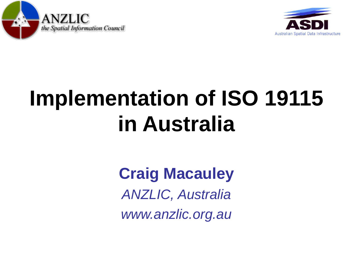



## **Implementation of ISO 19115 in Australia**

#### **Craig Macauley** *ANZLIC, Australia www.anzlic.org.au*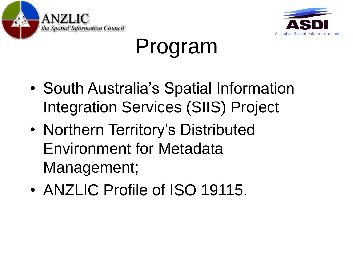



#### Program

- South Australia's Spatial Information Integration Services (SIIS) Project
- Northern Territory's Distributed Environment for Metadata Management;
- ANZLIC Profile of ISO 19115.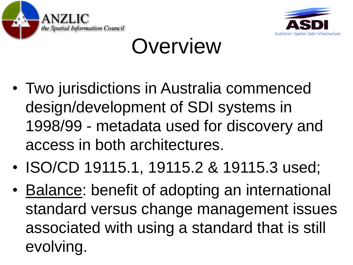



#### **Overview**

- Two jurisdictions in Australia commenced design/development of SDI systems in 1998/99 - metadata used for discovery and access in both architectures.
- ISO/CD 19115.1, 19115.2 & 19115.3 used;
- Balance: benefit of adopting an international standard versus change management issues associated with using a standard that is still evolving.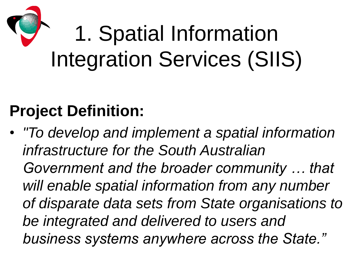# 1. Spatial Information Integration Services (SIIS)

#### **Project Definition:**

• *"To develop and implement a spatial information infrastructure for the South Australian Government and the broader community … that will enable spatial information from any number of disparate data sets from State organisations to be integrated and delivered to users and business systems anywhere across the State."*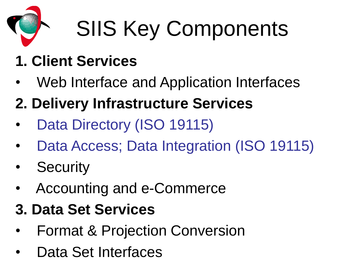

# SIIS Key Components

#### **1. Client Services**

- Web Interface and Application Interfaces
- **2. Delivery Infrastructure Services**
- Data Directory (ISO 19115)
- Data Access; Data Integration (ISO 19115)
- **Security**
- Accounting and e-Commerce
- **3. Data Set Services**
- Format & Projection Conversion
- Data Set Interfaces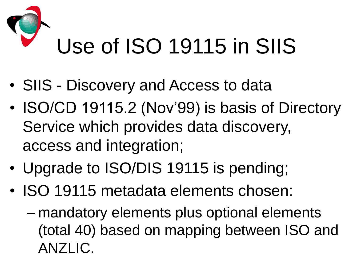# Use of ISO 19115 in SIIS

- SIIS Discovery and Access to data
- ISO/CD 19115.2 (Nov'99) is basis of Directory Service which provides data discovery, access and integration;
- Upgrade to ISO/DIS 19115 is pending;
- ISO 19115 metadata elements chosen:
	- mandatory elements plus optional elements (total 40) based on mapping between ISO and ANZLIC.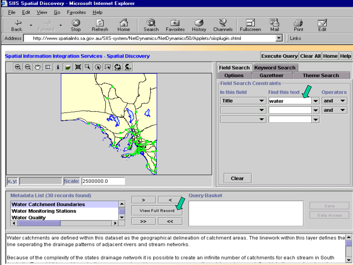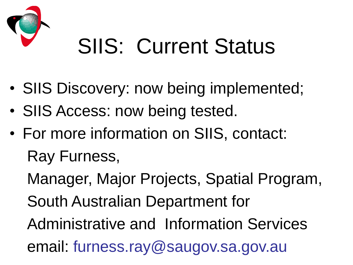

#### SIIS: Current Status

- SIIS Discovery: now being implemented;
- SIIS Access: now being tested.
- For more information on SIIS, contact: Ray Furness,

Manager, Major Projects, Spatial Program, South Australian Department for Administrative and Information Services email: furness.ray@saugov.sa.gov.au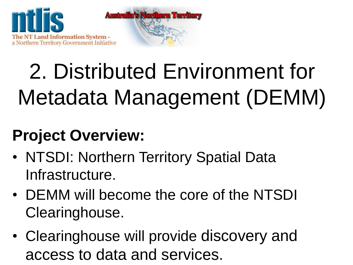

## 2. Distributed Environment for Metadata Management (DEMM)

#### **Project Overview:**

- NTSDI: Northern Territory Spatial Data Infrastructure.
- DEMM will become the core of the NTSDI Clearinghouse.
- Clearinghouse will provide discovery and access to data and services.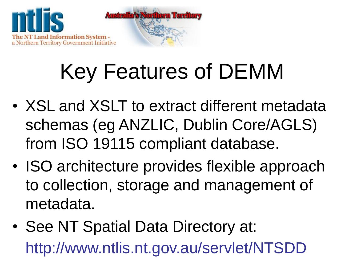

## Key Features of DEMM

- XSL and XSLT to extract different metadata schemas (eg ANZLIC, Dublin Core/AGLS) from ISO 19115 compliant database.
- ISO architecture provides flexible approach to collection, storage and management of metadata.
- See NT Spatial Data Directory at: http://www.ntlis.nt.gov.au/servlet/NTSDD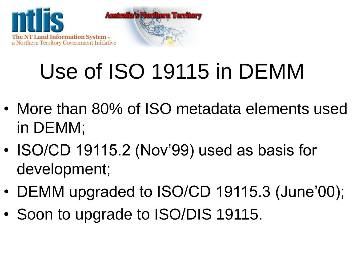

## Use of ISO 19115 in DEMM

- More than 80% of ISO metadata elements used in DEMM;
- ISO/CD 19115.2 (Nov'99) used as basis for development;
- DEMM upgraded to ISO/CD 19115.3 (June'00);
- Soon to upgrade to ISO/DIS 19115.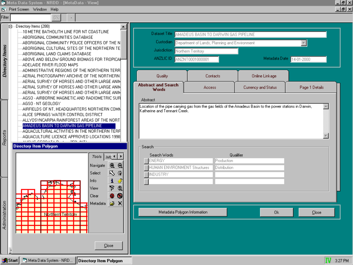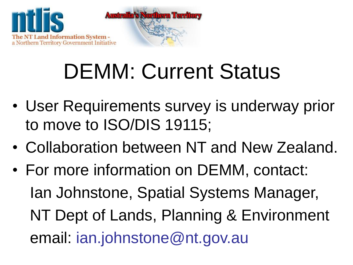

#### DEMM: Current Status

- User Requirements survey is underway prior to move to ISO/DIS 19115;
- Collaboration between NT and New Zealand.
- For more information on DEMM, contact: Ian Johnstone, Spatial Systems Manager, NT Dept of Lands, Planning & Environment email: ian.johnstone@nt.gov.au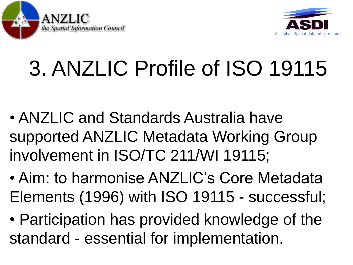



# 3. ANZLIC Profile of ISO 19115

- ANZLIC and Standards Australia have supported ANZLIC Metadata Working Group involvement in ISO/TC 211/WI 19115;
- Aim: to harmonise ANZLIC's Core Metadata Elements (1996) with ISO 19115 - successful;
- Participation has provided knowledge of the standard - essential for implementation.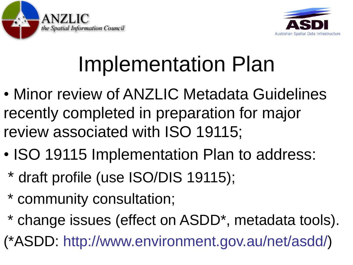



## Implementation Plan

- Minor review of ANZLIC Metadata Guidelines recently completed in preparation for major review associated with ISO 19115;
- ISO 19115 Implementation Plan to address:
	- \* draft profile (use ISO/DIS 19115);
	- \* community consultation;
	- \* change issues (effect on ASDD\*, metadata tools).

(\*ASDD: http://www.environment.gov.au/net/asdd/)